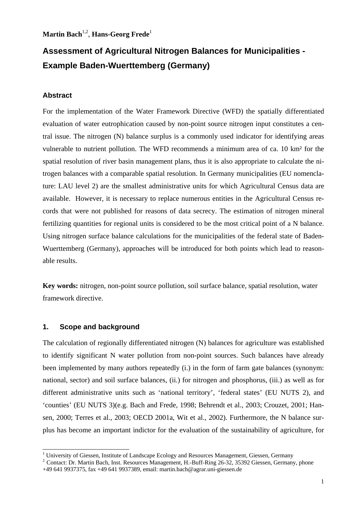**Martin Bach**1,2, **Hans-Georg Frede**<sup>1</sup>

# **Assessment of Agricultural Nitrogen Balances for Municipalities - Example Baden-Wuerttemberg (Germany)**

## **Abstract**

For the implementation of the Water Framework Directive (WFD) the spatially differentiated evaluation of water eutrophication caused by non-point source nitrogen input constitutes a central issue. The nitrogen (N) balance surplus is a commonly used indicator for identifying areas vulnerable to nutrient pollution. The WFD recommends a minimum area of ca. 10 km² for the spatial resolution of river basin management plans, thus it is also appropriate to calculate the nitrogen balances with a comparable spatial resolution. In Germany municipalities (EU nomenclature: LAU level 2) are the smallest administrative units for which Agricultural Census data are available. However, it is necessary to replace numerous entities in the Agricultural Census records that were not published for reasons of data secrecy. The estimation of nitrogen mineral fertilizing quantities for regional units is considered to be the most critical point of a N balance. Using nitrogen surface balance calculations for the municipalities of the federal state of Baden-Wuerttemberg (Germany), approaches will be introduced for both points which lead to reasonable results.

**Key words:** nitrogen, non-point source pollution, soil surface balance, spatial resolution, water framework directive.

### **1. Scope and background**

The calculation of regionally differentiated nitrogen (N) balances for agriculture was established to identify significant N water pollution from non-point sources. Such balances have already been implemented by many authors repeatedly (i.) in the form of farm gate balances (synonym: national, sector) and soil surface balances, (ii.) for nitrogen and phosphorus, (iii.) as well as for different administrative units such as 'national territory', 'federal states' (EU NUTS 2), and 'counties' (EU NUTS 3)(e.g. Bach and Frede, 1998; Behrendt et al., 2003; Crouzet, 2001; Hansen, 2000; Terres et al., 2003; OECD 2001a, Wit et al., 2002). Furthermore, the N balance surplus has become an important indictor for the evaluation of the sustainability of agriculture, for

 $\frac{1}{1}$ 

<sup>&</sup>lt;sup>2</sup> Contact: Dr. Martin Bach, Inst. Resources Management, H.-Buff-Ring 26-32, 35392 Giessen, Germany, phone +49 641 9937375, fax +49 641 9937389, email: martin.bach@agrar.uni-giessen.de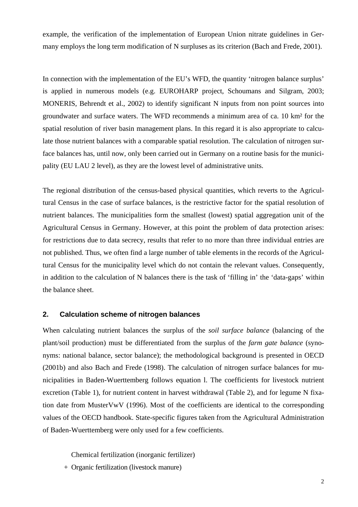example, the verification of the implementation of European Union nitrate guidelines in Germany employs the long term modification of N surpluses as its criterion (Bach and Frede, 2001).

In connection with the implementation of the EU's WFD, the quantity 'nitrogen balance surplus' is applied in numerous models (e.g. EUROHARP project, Schoumans and Silgram, 2003; MONERIS, Behrendt et al., 2002) to identify significant N inputs from non point sources into groundwater and surface waters. The WFD recommends a minimum area of ca. 10 km² for the spatial resolution of river basin management plans. In this regard it is also appropriate to calculate those nutrient balances with a comparable spatial resolution. The calculation of nitrogen surface balances has, until now, only been carried out in Germany on a routine basis for the municipality (EU LAU 2 level), as they are the lowest level of administrative units.

The regional distribution of the census-based physical quantities, which reverts to the Agricultural Census in the case of surface balances, is the restrictive factor for the spatial resolution of nutrient balances. The municipalities form the smallest (lowest) spatial aggregation unit of the Agricultural Census in Germany. However, at this point the problem of data protection arises: for restrictions due to data secrecy, results that refer to no more than three individual entries are not published. Thus, we often find a large number of table elements in the records of the Agricultural Census for the municipality level which do not contain the relevant values. Consequently, in addition to the calculation of N balances there is the task of 'filling in' the 'data-gaps' within the balance sheet.

# **2. Calculation scheme of nitrogen balances**

When calculating nutrient balances the surplus of the *soil surface balance* (balancing of the plant/soil production) must be differentiated from the surplus of the *farm gate balance* (synonyms: national balance, sector balance); the methodological background is presented in OECD (2001b) and also Bach and Frede (1998). The calculation of nitrogen surface balances for municipalities in Baden-Wuerttemberg follows equation l. The coefficients for livestock nutrient excretion (Table 1), for nutrient content in harvest withdrawal (Table 2), and for legume N fixation date from MusterVwV (1996). Most of the coefficients are identical to the corresponding values of the OECD handbook. State-specific figures taken from the Agricultural Administration of Baden-Wuerttemberg were only used for a few coefficients.

Chemical fertilization (inorganic fertilizer)

+ Organic fertilization (livestock manure)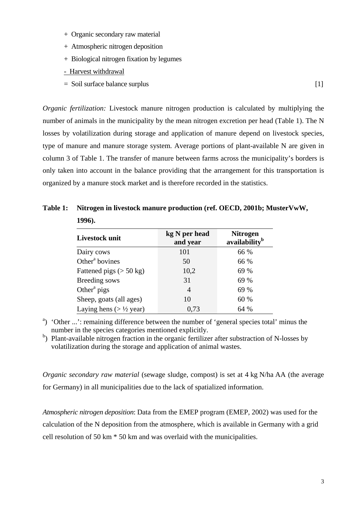- + Organic secondary raw material
- + Atmospheric nitrogen deposition
- + Biological nitrogen fixation by legumes
- Harvest withdrawal

**1996).** 

= Soil surface balance surplus [1]

*Organic fertilization:* Livestock manure nitrogen production is calculated by multiplying the number of animals in the municipality by the mean nitrogen excretion per head (Table 1). The N losses by volatilization during storage and application of manure depend on livestock species, type of manure and manure storage system. Average portions of plant-available N are given in column 3 of Table 1. The transfer of manure between farms across the municipality's borders is only taken into account in the balance providing that the arrangement for this transportation is organized by a manure stock market and is therefore recorded in the statistics.

| Livestock unit                      | kg N per head<br>and year | <b>Nitrogen</b><br>availability <sup>b</sup> |  |  |
|-------------------------------------|---------------------------|----------------------------------------------|--|--|
| Dairy cows                          | 101                       | 66 %                                         |  |  |
| Other <sup>a</sup> bovines          | 50                        | 66 %                                         |  |  |
| Fattened pigs $(> 50 \text{ kg})$   | 10,2                      | 69 %                                         |  |  |
| Breeding sows                       | 31                        | 69 %                                         |  |  |
| Other <sup>a</sup> pigs             | 4                         | 69 %                                         |  |  |
| Sheep, goats (all ages)             | 10                        | 60 %                                         |  |  |
| Laying hens ( $> \frac{1}{2}$ year) | 0.73                      | 64 %                                         |  |  |

**Table 1: Nitrogen in livestock manure production (ref. OECD, 2001b; MusterVwW,** 

<sup>a</sup>) 'Other ...': remaining difference between the number of 'general species total' minus the number in the species categories mentioned explicitly.

<sup>b</sup>) Plant-available nitrogen fraction in the organic fertilizer after substraction of N-losses by volatilization during the storage and application of animal wastes.

*Organic secondary raw material* (sewage sludge, compost) is set at 4 kg N/ha AA (the average for Germany) in all municipalities due to the lack of spatialized information.

*Atmospheric nitrogen deposition*: Data from the EMEP program (EMEP, 2002) was used for the calculation of the N deposition from the atmosphere, which is available in Germany with a grid cell resolution of 50 km \* 50 km and was overlaid with the municipalities.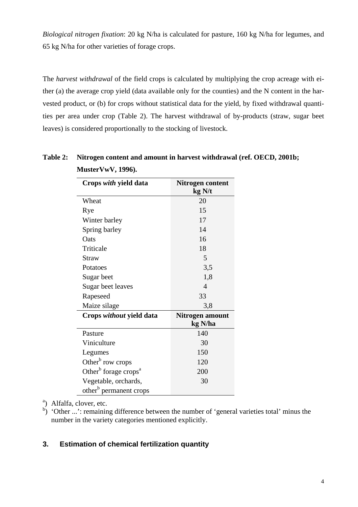*Biological nitrogen fixation*: 20 kg N/ha is calculated for pasture, 160 kg N/ha for legumes, and 65 kg N/ha for other varieties of forage crops.

The *harvest withdrawal* of the field crops is calculated by multiplying the crop acreage with either (a) the average crop yield (data available only for the counties) and the N content in the harvested product, or (b) for crops without statistical data for the yield, by fixed withdrawal quantities per area under crop (Table 2). The harvest withdrawal of by-products (straw, sugar beet leaves) is considered proportionally to the stocking of livestock.

| Crops with yield data                        | Nitrogen content<br>kg N/t |
|----------------------------------------------|----------------------------|
| Wheat                                        | 20                         |
| Rye                                          | 15                         |
| Winter barley                                | 17                         |
| Spring barley                                | 14                         |
| Oats                                         | 16                         |
| Triticale                                    | 18                         |
| Straw                                        | 5                          |
| Potatoes                                     | 3,5                        |
| Sugar beet                                   | 1,8                        |
| Sugar beet leaves                            | 4                          |
| Rapeseed                                     | 33                         |
| Maize silage                                 | 3,8                        |
| Crops without yield data                     | Nitrogen amount<br>kg N/ha |
| Pasture                                      | 140                        |
| Viniculture                                  | 30                         |
| Legumes                                      | 150                        |
| Other <sup>b</sup> row crops                 | 120                        |
| Other <sup>b</sup> forage crops <sup>a</sup> | 200                        |
| Vegetable, orchards,                         | 30                         |
| other <sup>b</sup> permanent crops           |                            |

# **Table 2: Nitrogen content and amount in harvest withdrawal (ref. OECD, 2001b; MusterVwV, 1996).**

<sup>a</sup>) Alfalfa, clover, etc.

b) 'Other ...': remaining difference between the number of 'general varieties total' minus the number in the variety categories mentioned explicitly.

# **3. Estimation of chemical fertilization quantity**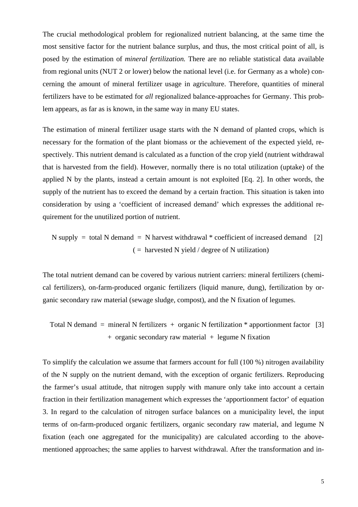The crucial methodological problem for regionalized nutrient balancing, at the same time the most sensitive factor for the nutrient balance surplus, and thus, the most critical point of all, is posed by the estimation of *mineral fertilization.* There are no reliable statistical data available from regional units (NUT 2 or lower) below the national level (i.e. for Germany as a whole) concerning the amount of mineral fertilizer usage in agriculture. Therefore, quantities of mineral fertilizers have to be estimated for *all* regionalized balance-approaches for Germany. This problem appears, as far as is known, in the same way in many EU states.

The estimation of mineral fertilizer usage starts with the N demand of planted crops, which is necessary for the formation of the plant biomass or the achievement of the expected yield, respectively. This nutrient demand is calculated as a function of the crop yield (nutrient withdrawal that is harvested from the field). However, normally there is no total utilization (uptake) of the applied N by the plants, instead a certain amount is not exploited [Eq. 2]. In other words, the supply of the nutrient has to exceed the demand by a certain fraction. This situation is taken into consideration by using a 'coefficient of increased demand' which expresses the additional requirement for the unutilized portion of nutrient.

N supply = total N demand = N harvest withdrawal \* coefficient of increased demand 
$$
[2]
$$
 (= harvested N yield / degree of N utilization)

The total nutrient demand can be covered by various nutrient carriers: mineral fertilizers (chemical fertilizers), on-farm-produced organic fertilizers (liquid manure, dung), fertilization by organic secondary raw material (sewage sludge, compost), and the N fixation of legumes.

Total N demand = mineral N fertilizers + organic N fertilization \* apportionment factor 
$$
[3]
$$
 + organic secondary raw material + legume N fixation

To simplify the calculation we assume that farmers account for full (100 %) nitrogen availability of the N supply on the nutrient demand, with the exception of organic fertilizers. Reproducing the farmer's usual attitude, that nitrogen supply with manure only take into account a certain fraction in their fertilization management which expresses the 'apportionment factor' of equation 3. In regard to the calculation of nitrogen surface balances on a municipality level, the input terms of on-farm-produced organic fertilizers, organic secondary raw material, and legume N fixation (each one aggregated for the municipality) are calculated according to the abovementioned approaches; the same applies to harvest withdrawal. After the transformation and in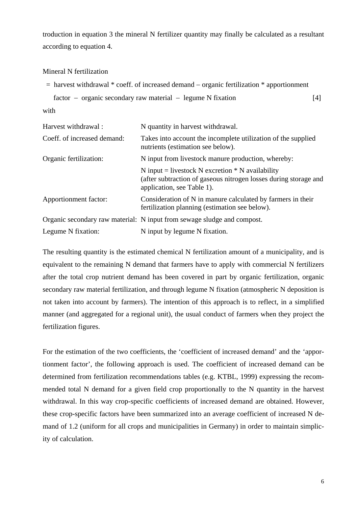troduction in equation 3 the mineral N fertilizer quantity may finally be calculated as a resultant according to equation 4.

#### Mineral N fertilization

```
 = harvest withdrawal * coeff. of increased demand − organic fertilization * apportionment 
factor − organic secondary raw material − legume N fixation [4]
```
with

| Harvest withdrawal:         | N quantity in harvest withdrawal.                                                                                                                    |
|-----------------------------|------------------------------------------------------------------------------------------------------------------------------------------------------|
| Coeff. of increased demand: | Takes into account the incomplete utilization of the supplied<br>nutrients (estimation see below).                                                   |
| Organic fertilization:      | N input from livestock manure production, whereby:                                                                                                   |
|                             | N input = livestock N excretion $*$ N availability<br>(after subtraction of gaseous nitrogen losses during storage and<br>application, see Table 1). |
| Apportionment factor:       | Consideration of N in manure calculated by farmers in their<br>fertilization planning (estimation see below).                                        |
|                             | Organic secondary raw material: N input from sewage sludge and compost.                                                                              |
| Legume N fixation:          | N input by legume N fixation.                                                                                                                        |

The resulting quantity is the estimated chemical N fertilization amount of a municipality, and is equivalent to the remaining N demand that farmers have to apply with commercial N fertilizers after the total crop nutrient demand has been covered in part by organic fertilization, organic secondary raw material fertilization, and through legume N fixation (atmospheric N deposition is not taken into account by farmers). The intention of this approach is to reflect, in a simplified manner (and aggregated for a regional unit), the usual conduct of farmers when they project the fertilization figures.

For the estimation of the two coefficients, the 'coefficient of increased demand' and the 'apportionment factor', the following approach is used. The coefficient of increased demand can be determined from fertilization recommendations tables (e.g. KTBL, 1999) expressing the recommended total N demand for a given field crop proportionally to the N quantity in the harvest withdrawal. In this way crop-specific coefficients of increased demand are obtained. However, these crop-specific factors have been summarized into an average coefficient of increased N demand of 1.2 (uniform for all crops and municipalities in Germany) in order to maintain simplicity of calculation.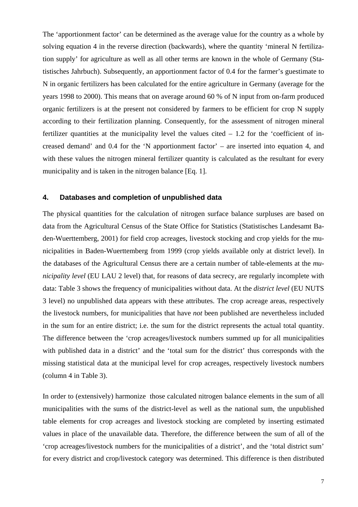The 'apportionment factor' can be determined as the average value for the country as a whole by solving equation 4 in the reverse direction (backwards), where the quantity 'mineral N fertilization supply' for agriculture as well as all other terms are known in the whole of Germany (Statistisches Jahrbuch). Subsequently, an apportionment factor of 0.4 for the farmer's guestimate to N in organic fertilizers has been calculated for the entire agriculture in Germany (average for the years 1998 to 2000). This means that on average around 60 % of N input from on-farm produced organic fertilizers is at the present not considered by farmers to be efficient for crop N supply according to their fertilization planning. Consequently, for the assessment of nitrogen mineral fertilizer quantities at the municipality level the values cited  $-1.2$  for the 'coefficient of increased demand' and 0.4 for the 'N apportionment factor' – are inserted into equation 4, and with these values the nitrogen mineral fertilizer quantity is calculated as the resultant for every municipality and is taken in the nitrogen balance [Eq. 1].

# **4. Databases and completion of unpublished data**

The physical quantities for the calculation of nitrogen surface balance surpluses are based on data from the Agricultural Census of the State Office for Statistics (Statistisches Landesamt Baden-Wuerttemberg, 2001) for field crop acreages, livestock stocking and crop yields for the municipalities in Baden-Wuerttemberg from 1999 (crop yields available only at district level). In the databases of the Agricultural Census there are a certain number of table-elements at the *municipality level* (EU LAU 2 level) that, for reasons of data secrecy, are regularly incomplete with data: Table 3 shows the frequency of municipalities without data. At the *district level* (EU NUTS 3 level) no unpublished data appears with these attributes. The crop acreage areas, respectively the livestock numbers, for municipalities that have *not* been published are nevertheless included in the sum for an entire district; i.e. the sum for the district represents the actual total quantity. The difference between the 'crop acreages/livestock numbers summed up for all municipalities with published data in a district' and the 'total sum for the district' thus corresponds with the missing statistical data at the municipal level for crop acreages, respectively livestock numbers (column 4 in Table 3).

In order to (extensively) harmonize those calculated nitrogen balance elements in the sum of all municipalities with the sums of the district-level as well as the national sum, the unpublished table elements for crop acreages and livestock stocking are completed by inserting estimated values in place of the unavailable data. Therefore, the difference between the sum of all of the 'crop acreages/livestock numbers for the municipalities of a district', and the 'total district sum' for every district and crop/livestock category was determined. This difference is then distributed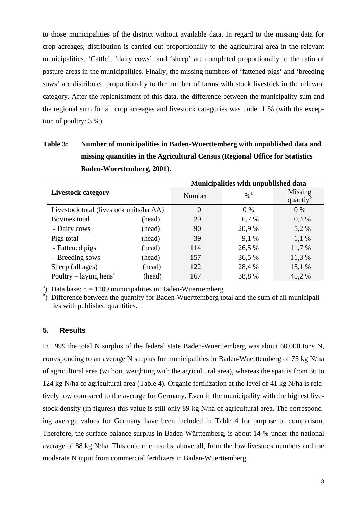to those municipalities of the district without available data. In regard to the missing data for crop acreages, distribution is carried out proportionally to the agricultural area in the relevant municipalities. 'Cattle', 'dairy cows', and 'sheep' are completed proportionally to the ratio of pasture areas in the municipalities. Finally, the missing numbers of 'fattened pigs' and 'breeding sows' are distributed proportionally to the number of farms with stock livestock in the relevant category. After the replenishment of this data, the difference between the municipality sum and the regional sum for all crop acreages and livestock categories was under 1 % (with the exception of poultry: 3 %).

**Table 3: Number of municipalities in Baden-Wuerttemberg with unpublished data and missing quantities in the Agricultural Census (Regional Office for Statistics Baden-Wuerttemberg, 2001).** 

|                                         | Municipalities with unpublished data |          |                   |                    |
|-----------------------------------------|--------------------------------------|----------|-------------------|--------------------|
| <b>Livestock category</b>               |                                      | Number   | $\%$ <sup>a</sup> | Missing<br>quantiy |
| Livestock total (livestock units/ha AA) |                                      | $\theta$ | $0\%$             | 0 %                |
| Bovines total                           | (head)                               | 29       | 6,7%              | 0.4%               |
| - Dairy cows                            | (head)                               | 90       | 20,9 %            | 5,2 %              |
| Pigs total                              | (head)                               | 39       | 9,1%              | 1,1 %              |
| - Fattened pigs                         | (head)                               | 114      | 26,5 %            | 11,7 %             |
| - Breeding sows                         | (head)                               | 157      | 36,5 %            | 11,3 %             |
| Sheep (all ages)                        | (head)                               | 122      | 28,4 %            | 15,1 %             |
| Poultry – laying hens <sup>c</sup>      | (head)                               | 167      | 38,8%             | 45,2%              |

<sup>a</sup>) Data base:  $n = 1109$  municipalities in Baden-Wuerttemberg

<sup>b</sup>) Difference between the quantity for Baden-Wuerttemberg total and the sum of all municipalities with published quantities.

### **5. Results**

In 1999 the total N surplus of the federal state Baden-Wuerttemberg was about 60.000 tons N, corresponding to an average N surplus for municipalities in Baden-Wuerttemberg of 75 kg N/ha of agricultural area (without weighting with the agricultural area), whereas the span is from 36 to 124 kg N/ha of agricultural area (Table 4). Organic fertilization at the level of 41 kg N/ha is relatively low compared to the average for Germany. Even in the municipality with the highest livestock density (in figures) this value is still only 89 kg N/ha of agricultural area. The corresponding average values for Germany have been included in Table 4 for purpose of comparison. Therefore, the surface balance surplus in Baden-Württemberg, is about 14 % under the national average of 88 kg N/ha. This outcome results, above all, from the low livestock numbers and the moderate N input from commercial fertilizers in Baden-Wuerttemberg.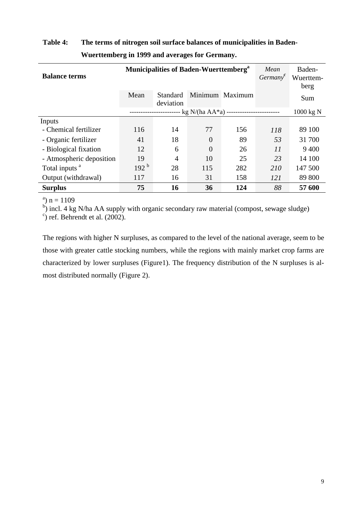| <b>Balance terms</b>      | <b>Municipalities of Baden-Wuerttemberg</b> <sup>a</sup> |                       |          |                 | Mean<br>German <sup>c</sup> | Baden-<br>Wuerttem-<br>berg |
|---------------------------|----------------------------------------------------------|-----------------------|----------|-----------------|-----------------------------|-----------------------------|
|                           | Mean                                                     | Standard<br>deviation |          | Minimum Maximum |                             | Sum                         |
|                           | - kg N/(ha AA*a) ------------------                      |                       |          |                 | 1000 kg N                   |                             |
| Inputs                    |                                                          |                       |          |                 |                             |                             |
| - Chemical fertilizer     | 116                                                      | 14                    | 77       | 156             | 118                         | 89 100                      |
| - Organic fertilizer      | 41                                                       | 18                    | $\Omega$ | 89              | 53                          | 31 700                      |
| - Biological fixation     | 12                                                       | 6                     | $\theta$ | 26              | 11                          | 9 4 0 0                     |
| - Atmospheric deposition  | 19                                                       | 4                     | 10       | 25              | 23                          | 14 100                      |
| Total inputs <sup>a</sup> | 192 <sup>b</sup>                                         | 28                    | 115      | 282             | 210                         | 147 500                     |
| Output (withdrawal)       | 117                                                      | 16                    | 31       | 158             | 121                         | 89 800                      |
| <b>Surplus</b>            | 75                                                       | 16                    | 36       | 124             | 88                          | 57 600                      |

# **Table 4: The terms of nitrogen soil surface balances of municipalities in Baden-Wuerttemberg in 1999 and averages for Germany.**

<sup>a</sup>)  $n = 1109$ 

<sup>b</sup>) incl. 4 kg N/ha AA supply with organic secondary raw material (compost, sewage sludge)  $\frac{c_1}{c_2}$  ref. Behrendt et al. (2002)

 $\degree$ ) ref. Behrendt et al. (2002).

The regions with higher N surpluses, as compared to the level of the national average, seem to be those with greater cattle stocking numbers, while the regions with mainly market crop farms are characterized by lower surpluses (Figure1). The frequency distribution of the N surpluses is almost distributed normally (Figure 2).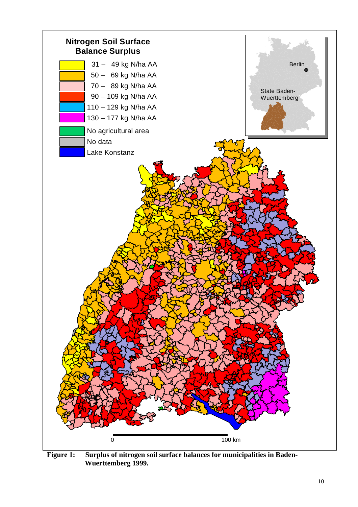

**Figure 1: Surplus of nitrogen soil surface balances for municipalities in Baden- Wuerttemberg 1999.**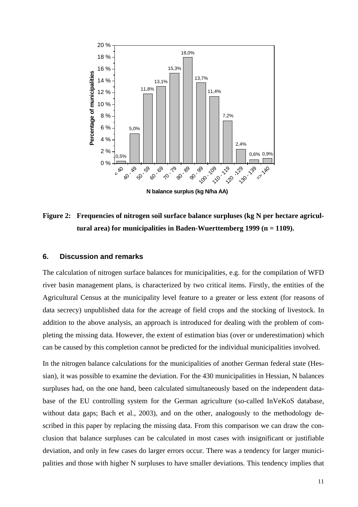

**N balance surplus (kg N/ha AA)**

Figure 2: Frequencies of nitrogen soil surface balance surpluses (kg N per hectare agricul**tural area) for municipalities in Baden-Wuerttemberg 1999 (n = 1109).** 

#### **6. Discussion and remarks**

The calculation of nitrogen surface balances for municipalities, e.g. for the compilation of WFD river basin management plans, is characterized by two critical items. Firstly, the entities of the Agricultural Census at the municipality level feature to a greater or less extent (for reasons of data secrecy) unpublished data for the acreage of field crops and the stocking of livestock. In addition to the above analysis, an approach is introduced for dealing with the problem of completing the missing data. However, the extent of estimation bias (over or underestimation) which can be caused by this completion cannot be predicted for the individual municipalities involved.

In the nitrogen balance calculations for the municipalities of another German federal state (Hessian), it was possible to examine the deviation. For the 430 municipalities in Hessian, N balances surpluses had, on the one hand, been calculated simultaneously based on the independent database of the EU controlling system for the German agriculture (so-called InVeKoS database, without data gaps; Bach et al., 2003), and on the other, analogously to the methodology described in this paper by replacing the missing data. From this comparison we can draw the conclusion that balance surpluses can be calculated in most cases with insignificant or justifiable deviation, and only in few cases do larger errors occur. There was a tendency for larger municipalities and those with higher N surpluses to have smaller deviations. This tendency implies that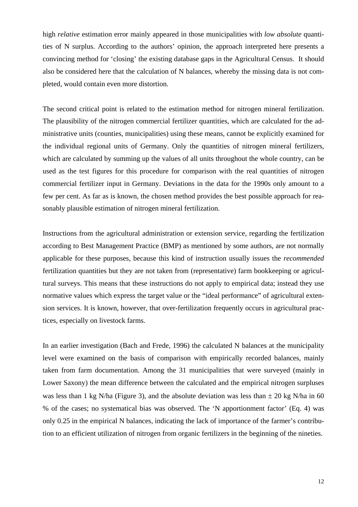high *relative* estimation error mainly appeared in those municipalities with *low absolute* quantities of N surplus. According to the authors' opinion, the approach interpreted here presents a convincing method for 'closing' the existing database gaps in the Agricultural Census. It should also be considered here that the calculation of N balances, whereby the missing data is not completed, would contain even more distortion.

The second critical point is related to the estimation method for nitrogen mineral fertilization. The plausibility of the nitrogen commercial fertilizer quantities, which are calculated for the administrative units (counties, municipalities) using these means, cannot be explicitly examined for the individual regional units of Germany. Only the quantities of nitrogen mineral fertilizers, which are calculated by summing up the values of all units throughout the whole country, can be used as the test figures for this procedure for comparison with the real quantities of nitrogen commercial fertilizer input in Germany. Deviations in the data for the 1990s only amount to a few per cent. As far as is known, the chosen method provides the best possible approach for reasonably plausible estimation of nitrogen mineral fertilization.

Instructions from the agricultural administration or extension service, regarding the fertilization according to Best Management Practice (BMP) as mentioned by some authors, are not normally applicable for these purposes, because this kind of instruction usually issues the *recommended* fertilization quantities but they are not taken from (representative) farm bookkeeping or agricultural surveys. This means that these instructions do not apply to empirical data; instead they use normative values which express the target value or the "ideal performance" of agricultural extension services. It is known, however, that over-fertilization frequently occurs in agricultural practices, especially on livestock farms.

In an earlier investigation (Bach and Frede, 1996) the calculated N balances at the municipality level were examined on the basis of comparison with empirically recorded balances, mainly taken from farm documentation. Among the 31 municipalities that were surveyed (mainly in Lower Saxony) the mean difference between the calculated and the empirical nitrogen surpluses was less than 1 kg N/ha (Figure 3), and the absolute deviation was less than  $\pm$  20 kg N/ha in 60 % of the cases; no systematical bias was observed. The 'N apportionment factor' (Eq. 4) was only 0.25 in the empirical N balances, indicating the lack of importance of the farmer's contribution to an efficient utilization of nitrogen from organic fertilizers in the beginning of the nineties.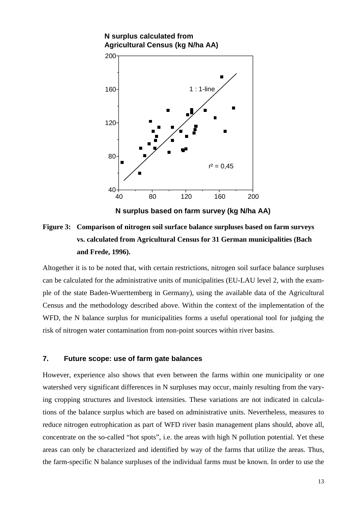

**N surplus based on farm survey (kg N/ha AA)**

**Figure 3: Comparison of nitrogen soil surface balance surpluses based on farm surveys vs. calculated from Agricultural Census for 31 German municipalities (Bach and Frede, 1996).** 

Altogether it is to be noted that, with certain restrictions, nitrogen soil surface balance surpluses can be calculated for the administrative units of municipalities (EU-LAU level 2, with the example of the state Baden-Wuerttemberg in Germany), using the available data of the Agricultural Census and the methodology described above. Within the context of the implementation of the WFD, the N balance surplus for municipalities forms a useful operational tool for judging the risk of nitrogen water contamination from non-point sources within river basins.

### **7. Future scope: use of farm gate balances**

However, experience also shows that even between the farms within one municipality or one watershed very significant differences in N surpluses may occur, mainly resulting from the varying cropping structures and livestock intensities. These variations are not indicated in calculations of the balance surplus which are based on administrative units. Nevertheless, measures to reduce nitrogen eutrophication as part of WFD river basin management plans should, above all, concentrate on the so-called "hot spots", i.e. the areas with high N pollution potential. Yet these areas can only be characterized and identified by way of the farms that utilize the areas. Thus, the farm-specific N balance surpluses of the individual farms must be known. In order to use the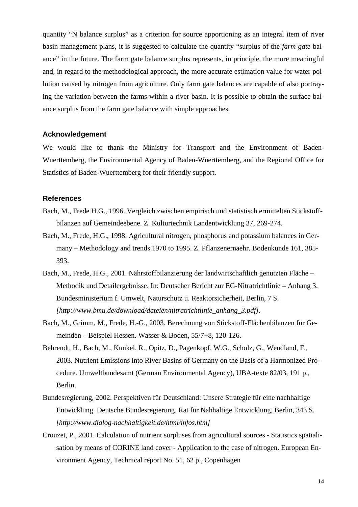quantity "N balance surplus" as a criterion for source apportioning as an integral item of river basin management plans, it is suggested to calculate the quantity "surplus of the *farm gate* balance" in the future. The farm gate balance surplus represents, in principle, the more meaningful and, in regard to the methodological approach, the more accurate estimation value for water pollution caused by nitrogen from agriculture. Only farm gate balances are capable of also portraying the variation between the farms within a river basin. It is possible to obtain the surface balance surplus from the farm gate balance with simple approaches.

#### **Acknowledgement**

We would like to thank the Ministry for Transport and the Environment of Baden-Wuerttemberg, the Environmental Agency of Baden-Wuerttemberg, and the Regional Office for Statistics of Baden-Wuerttemberg for their friendly support.

#### **References**

- Bach, M., Frede H.G., 1996. Vergleich zwischen empirisch und statistisch ermittelten Stickstoffbilanzen auf Gemeindeebene. Z. Kulturtechnik Landentwicklung 37, 269-274.
- Bach, M., Frede, H.G., 1998. Agricultural nitrogen, phosphorus and potassium balances in Germany – Methodology and trends 1970 to 1995. Z. Pflanzenernaehr. Bodenkunde 161, 385- 393.
- Bach, M., Frede, H.G., 2001. Nährstoffbilanzierung der landwirtschaftlich genutzten Fläche Methodik und Detailergebnisse. In: Deutscher Bericht zur EG-Nitratrichtlinie – Anhang 3. Bundesministerium f. Umwelt, Naturschutz u. Reaktorsicherheit, Berlin, 7 S. *[http://www.bmu.de/download/dateien/nitratrichtlinie\_anhang\_3.pdf].*
- Bach, M., Grimm, M., Frede, H.-G., 2003. Berechnung von Stickstoff-Flächenbilanzen für Gemeinden – Beispiel Hessen. Wasser & Boden, 55/7+8, 120-126.
- Behrendt, H., Bach, M., Kunkel, R., Opitz, D., Pagenkopf, W.G., Scholz, G., Wendland, F., 2003. Nutrient Emissions into River Basins of Germany on the Basis of a Harmonized Procedure. Umweltbundesamt (German Environmental Agency), UBA-texte 82/03, 191 p., Berlin.
- Bundesregierung, 2002. Perspektiven für Deutschland: Unsere Strategie für eine nachhaltige Entwicklung. Deutsche Bundesregierung, Rat für Nahhaltige Entwicklung, Berlin, 343 S. *[http://www.dialog-nachhaltigkeit.de/html/infos.htm]*
- Crouzet, P., 2001. Calculation of nutrient surpluses from agricultural sources Statistics spatialisation by means of CORINE land cover - Application to the case of nitrogen. European Environment Agency, Technical report No. 51, 62 p., Copenhagen